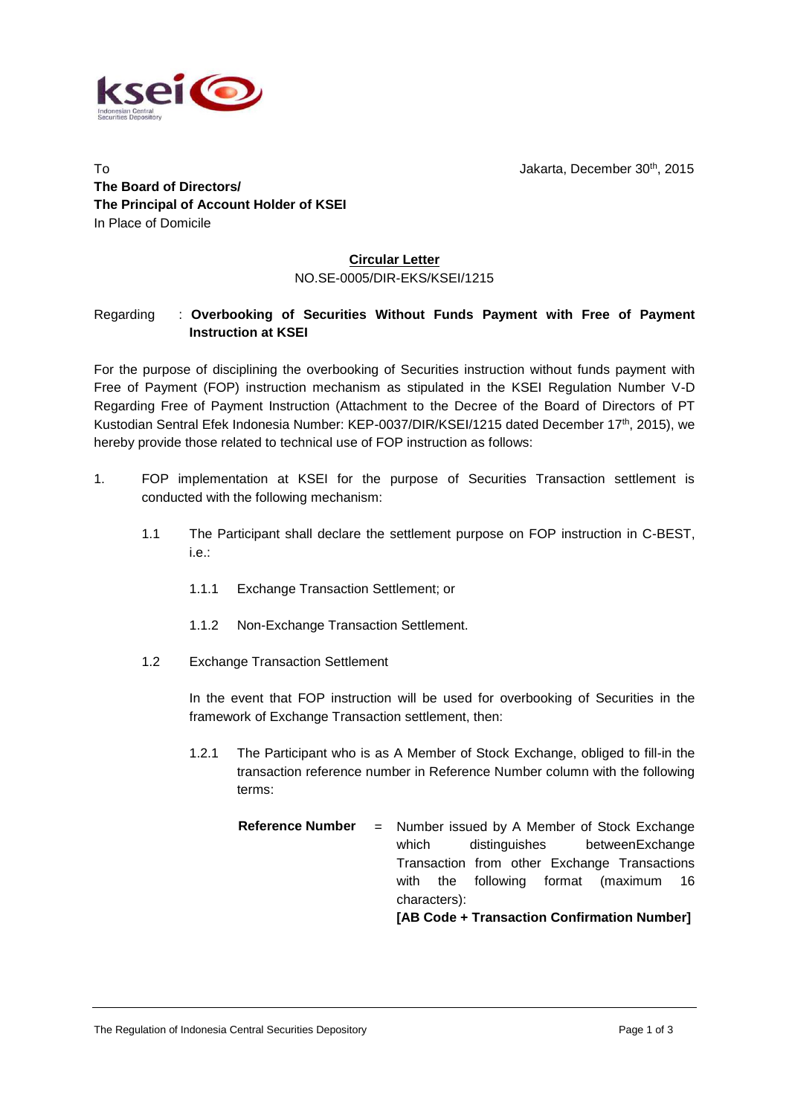



To Jakarta, December 30th, 2015 **The Board of Directors/ The Principal of Account Holder of KSEI** In Place of Domicile

## **Circular Letter** NO.SE-0005/DIR-EKS/KSEI/1215

## Regarding : **Overbooking of Securities Without Funds Payment with Free of Payment Instruction at KSEI**

For the purpose of disciplining the overbooking of Securities instruction without funds payment with Free of Payment (FOP) instruction mechanism as stipulated in the KSEI Regulation Number V-D Regarding Free of Payment Instruction (Attachment to the Decree of the Board of Directors of PT Kustodian Sentral Efek Indonesia Number: KEP-0037/DIR/KSEI/1215 dated December 17<sup>th</sup>, 2015), we hereby provide those related to technical use of FOP instruction as follows:

- 1. FOP implementation at KSEI for the purpose of Securities Transaction settlement is conducted with the following mechanism:
	- 1.1 The Participant shall declare the settlement purpose on FOP instruction in C-BEST, i.e.:
		- 1.1.1 Exchange Transaction Settlement; or
		- 1.1.2 Non-Exchange Transaction Settlement.
	- 1.2 Exchange Transaction Settlement

In the event that FOP instruction will be used for overbooking of Securities in the framework of Exchange Transaction settlement, then:

- 1.2.1 The Participant who is as A Member of Stock Exchange, obliged to fill-in the transaction reference number in Reference Number column with the following terms:
	- **Reference Number** = Number issued by A Member of Stock Exchange which distinguishes betweenExchange Transaction from other Exchange Transactions with the following format (maximum 16 characters): **[AB Code + Transaction Confirmation Number]**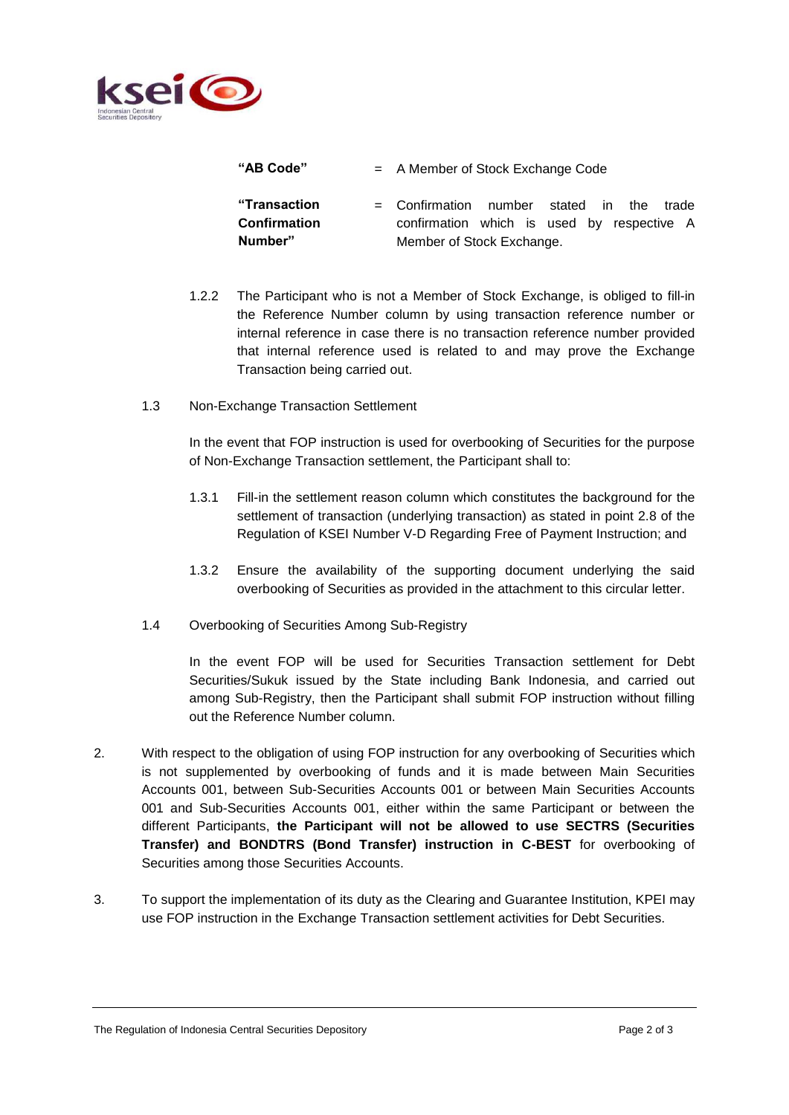

**"AB Code"** = A Member of Stock Exchange Code

**"Transaction Confirmation Number"**

- = Confirmation number stated in the trade confirmation which is used by respective A Member of Stock Exchange.
- 1.2.2 The Participant who is not a Member of Stock Exchange, is obliged to fill-in the Reference Number column by using transaction reference number or internal reference in case there is no transaction reference number provided that internal reference used is related to and may prove the Exchange Transaction being carried out.
- 1.3 Non-Exchange Transaction Settlement

In the event that FOP instruction is used for overbooking of Securities for the purpose of Non-Exchange Transaction settlement, the Participant shall to:

- 1.3.1 Fill-in the settlement reason column which constitutes the background for the settlement of transaction (underlying transaction) as stated in point 2.8 of the Regulation of KSEI Number V-D Regarding Free of Payment Instruction; and
- 1.3.2 Ensure the availability of the supporting document underlying the said overbooking of Securities as provided in the attachment to this circular letter.
- 1.4 Overbooking of Securities Among Sub-Registry

In the event FOP will be used for Securities Transaction settlement for Debt Securities/Sukuk issued by the State including Bank Indonesia, and carried out among Sub-Registry, then the Participant shall submit FOP instruction without filling out the Reference Number column.

- 2. With respect to the obligation of using FOP instruction for any overbooking of Securities which is not supplemented by overbooking of funds and it is made between Main Securities Accounts 001, between Sub-Securities Accounts 001 or between Main Securities Accounts 001 and Sub-Securities Accounts 001, either within the same Participant or between the different Participants, **the Participant will not be allowed to use SECTRS (Securities Transfer) and BONDTRS (Bond Transfer) instruction in C-BEST** for overbooking of Securities among those Securities Accounts.
- 3. To support the implementation of its duty as the Clearing and Guarantee Institution, KPEI may use FOP instruction in the Exchange Transaction settlement activities for Debt Securities.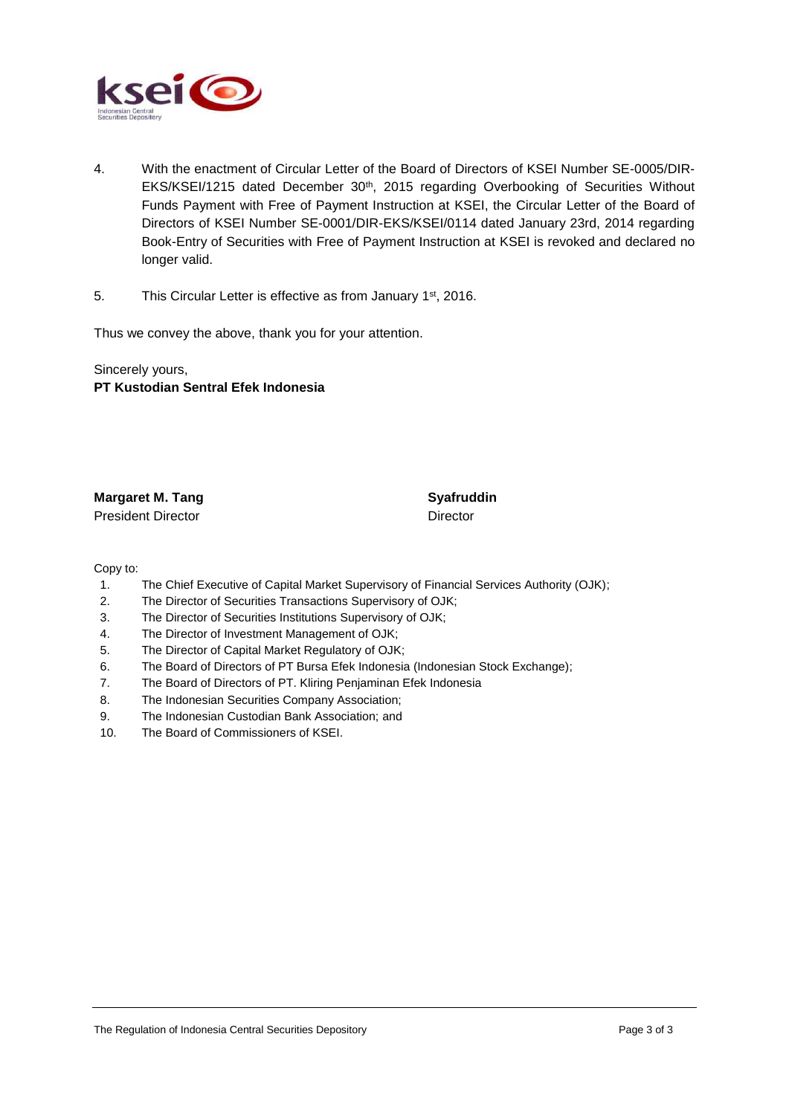

- 4. With the enactment of Circular Letter of the Board of Directors of KSEI Number SE-0005/DIR-EKS/KSEI/1215 dated December 30<sup>th</sup>, 2015 regarding Overbooking of Securities Without Funds Payment with Free of Payment Instruction at KSEI, the Circular Letter of the Board of Directors of KSEI Number SE-0001/DIR-EKS/KSEI/0114 dated January 23rd, 2014 regarding Book-Entry of Securities with Free of Payment Instruction at KSEI is revoked and declared no longer valid.
- 5. This Circular Letter is effective as from January 1<sup>st</sup>, 2016.

Thus we convey the above, thank you for your attention.

Sincerely yours, **PT Kustodian Sentral Efek Indonesia**

**Margaret M. Tang Syafruddin** President Director **Director** Director

Copy to:

- 1. The Chief Executive of Capital Market Supervisory of Financial Services Authority (OJK);
- 2. The Director of Securities Transactions Supervisory of OJK;
- 3. The Director of Securities Institutions Supervisory of OJK;
- 4. The Director of Investment Management of OJK;
- 5. The Director of Capital Market Regulatory of OJK;
- 6. The Board of Directors of PT Bursa Efek Indonesia (Indonesian Stock Exchange);
- 7. The Board of Directors of PT. Kliring Penjaminan Efek Indonesia
- 8. The Indonesian Securities Company Association;
- 9. The Indonesian Custodian Bank Association; and
- 10. The Board of Commissioners of KSEI.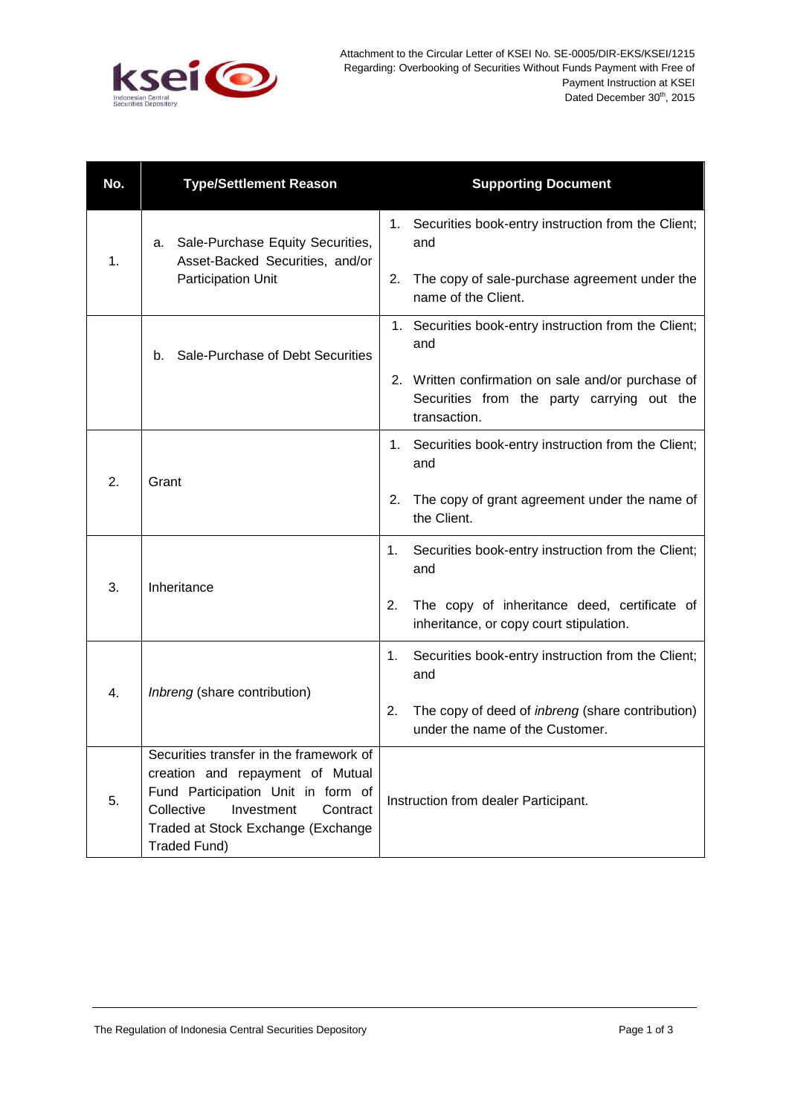

| No. | <b>Type/Settlement Reason</b>                                                                                                                                                                                   | <b>Supporting Document</b>                                                                                       |
|-----|-----------------------------------------------------------------------------------------------------------------------------------------------------------------------------------------------------------------|------------------------------------------------------------------------------------------------------------------|
| 1.  | a. Sale-Purchase Equity Securities,<br>Asset-Backed Securities, and/or<br>Participation Unit                                                                                                                    | 1. Securities book-entry instruction from the Client;<br>and                                                     |
|     |                                                                                                                                                                                                                 | 2.<br>The copy of sale-purchase agreement under the<br>name of the Client.                                       |
|     | Sale-Purchase of Debt Securities<br>b.                                                                                                                                                                          | 1. Securities book-entry instruction from the Client;<br>and                                                     |
|     |                                                                                                                                                                                                                 | 2. Written confirmation on sale and/or purchase of<br>Securities from the party carrying out the<br>transaction. |
| 2.  | Grant                                                                                                                                                                                                           | Securities book-entry instruction from the Client;<br>$1_{\cdot}$<br>and                                         |
|     |                                                                                                                                                                                                                 | The copy of grant agreement under the name of<br>2.<br>the Client.                                               |
| 3.  | Inheritance                                                                                                                                                                                                     | Securities book-entry instruction from the Client;<br>1.<br>and                                                  |
|     |                                                                                                                                                                                                                 | The copy of inheritance deed, certificate of<br>2.<br>inheritance, or copy court stipulation.                    |
| 4.  | Inbreng (share contribution)                                                                                                                                                                                    | Securities book-entry instruction from the Client;<br>1.<br>and                                                  |
|     |                                                                                                                                                                                                                 | The copy of deed of inbreng (share contribution)<br>2.<br>under the name of the Customer.                        |
| 5.  | Securities transfer in the framework of<br>creation and repayment of Mutual<br>Fund Participation Unit in form of<br>Collective<br>Investment<br>Contract<br>Traded at Stock Exchange (Exchange<br>Traded Fund) | Instruction from dealer Participant.                                                                             |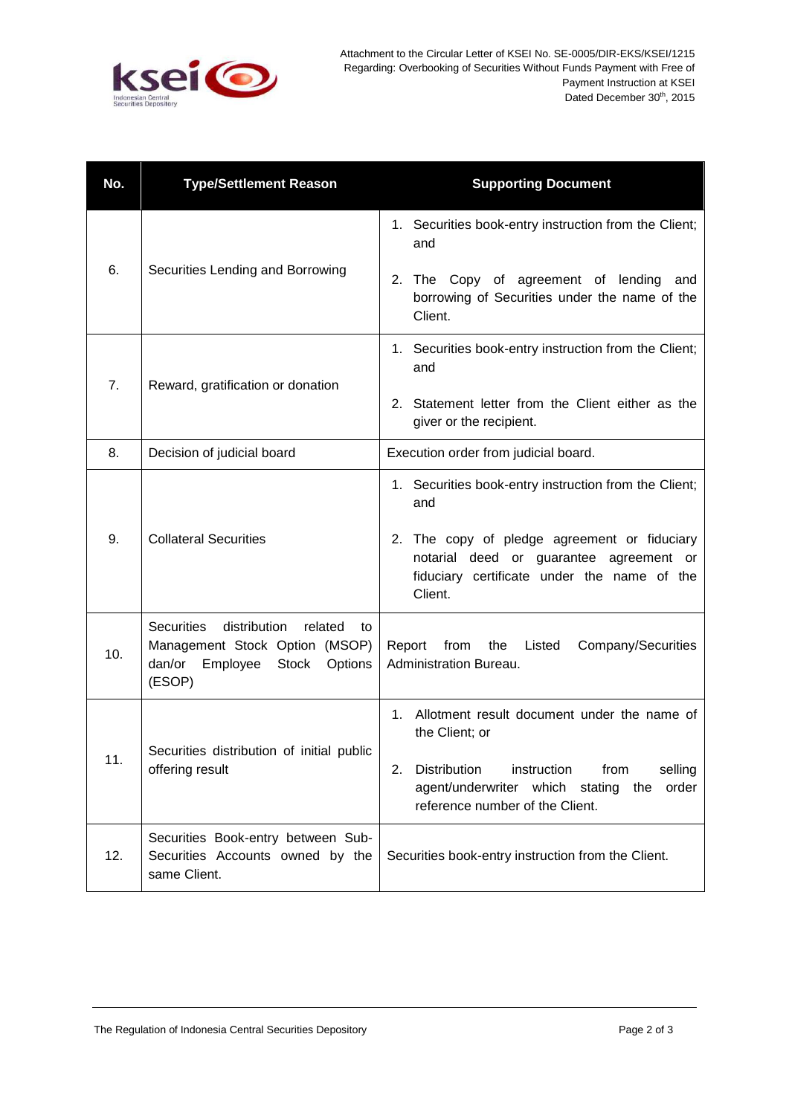

| No. | <b>Type/Settlement Reason</b>                                                                                                                   | <b>Supporting Document</b>                                                                                                                                                                                         |
|-----|-------------------------------------------------------------------------------------------------------------------------------------------------|--------------------------------------------------------------------------------------------------------------------------------------------------------------------------------------------------------------------|
| 6.  | Securities Lending and Borrowing                                                                                                                | 1. Securities book-entry instruction from the Client;<br>and                                                                                                                                                       |
|     |                                                                                                                                                 | 2.<br>The Copy of agreement of lending and<br>borrowing of Securities under the name of the<br>Client.                                                                                                             |
| 7.  | Reward, gratification or donation                                                                                                               | 1. Securities book-entry instruction from the Client;<br>and                                                                                                                                                       |
|     |                                                                                                                                                 | Statement letter from the Client either as the<br>2.<br>giver or the recipient.                                                                                                                                    |
| 8.  | Decision of judicial board                                                                                                                      | Execution order from judicial board.                                                                                                                                                                               |
| 9.  | <b>Collateral Securities</b>                                                                                                                    | 1. Securities book-entry instruction from the Client;<br>and<br>2. The copy of pledge agreement or fiduciary<br>notarial deed or guarantee agreement or<br>fiduciary certificate under the name of the<br>Client.  |
| 10. | <b>Securities</b><br>distribution<br>related<br>to<br>Management Stock Option (MSOP)<br><b>Stock</b><br>dan/or<br>Employee<br>Options<br>(ESOP) | Report from the Listed<br>Company/Securities<br>Administration Bureau.                                                                                                                                             |
| 11. | Securities distribution of initial public<br>offering result                                                                                    | Allotment result document under the name of<br>1.<br>the Client; or<br>2.<br><b>Distribution</b><br>instruction<br>from<br>selling<br>agent/underwriter which stating the order<br>reference number of the Client. |
| 12. | Securities Book-entry between Sub-<br>Securities Accounts owned by the<br>same Client.                                                          | Securities book-entry instruction from the Client.                                                                                                                                                                 |